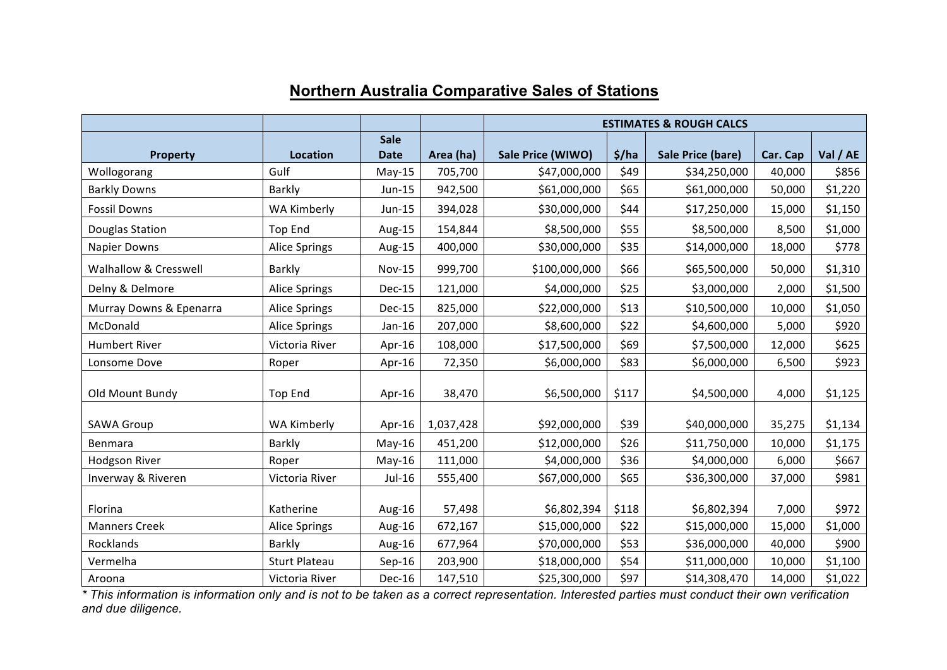|                         |                      |               |           | <b>ESTIMATES &amp; ROUGH CALCS</b> |       |                   |          |          |
|-------------------------|----------------------|---------------|-----------|------------------------------------|-------|-------------------|----------|----------|
|                         |                      | <b>Sale</b>   |           |                                    |       |                   |          |          |
| <b>Property</b>         | <b>Location</b>      | <b>Date</b>   | Area (ha) | Sale Price (WIWO)                  | \$/ha | Sale Price (bare) | Car. Cap | Val / AE |
| Wollogorang             | Gulf                 | $May-15$      | 705,700   | \$47,000,000                       | \$49  | \$34,250,000      | 40,000   | \$856    |
| <b>Barkly Downs</b>     | Barkly               | Jun-15        | 942,500   | \$61,000,000                       | \$65  | \$61,000,000      | 50,000   | \$1,220  |
| <b>Fossil Downs</b>     | <b>WA Kimberly</b>   | Jun-15        | 394,028   | \$30,000,000                       | \$44  | \$17,250,000      | 15,000   | \$1,150  |
| Douglas Station         | <b>Top End</b>       | Aug-15        | 154,844   | \$8,500,000                        | \$55  | \$8,500,000       | 8,500    | \$1,000  |
| <b>Napier Downs</b>     | <b>Alice Springs</b> | Aug-15        | 400,000   | \$30,000,000                       | \$35  | \$14,000,000      | 18,000   | \$778    |
| Walhallow & Cresswell   | Barkly               | <b>Nov-15</b> | 999,700   | \$100,000,000                      | \$66  | \$65,500,000      | 50,000   | \$1,310  |
| Delny & Delmore         | <b>Alice Springs</b> | Dec-15        | 121,000   | \$4,000,000                        | \$25  | \$3,000,000       | 2,000    | \$1,500  |
| Murray Downs & Epenarra | <b>Alice Springs</b> | Dec-15        | 825,000   | \$22,000,000                       | \$13  | \$10,500,000      | 10,000   | \$1,050  |
| McDonald                | <b>Alice Springs</b> | Jan-16        | 207,000   | \$8,600,000                        | \$22  | \$4,600,000       | 5,000    | \$920    |
| <b>Humbert River</b>    | Victoria River       | Apr-16        | 108,000   | \$17,500,000                       | \$69  | \$7,500,000       | 12,000   | \$625    |
| Lonsome Dove            | Roper                | Apr-16        | 72,350    | \$6,000,000                        | \$83  | \$6,000,000       | 6,500    | \$923    |
|                         |                      |               |           |                                    |       |                   |          |          |
| Old Mount Bundy         | <b>Top End</b>       | Apr-16        | 38,470    | \$6,500,000                        | \$117 | \$4,500,000       | 4,000    | \$1,125  |
| <b>SAWA Group</b>       | <b>WA Kimberly</b>   | Apr-16        | 1,037,428 | \$92,000,000                       | \$39  | \$40,000,000      | 35,275   | \$1,134  |
| Benmara                 | Barkly               | $May-16$      | 451,200   | \$12,000,000                       | \$26  | \$11,750,000      | 10,000   | \$1,175  |
| <b>Hodgson River</b>    | Roper                | $May-16$      | 111,000   | \$4,000,000                        | \$36  | \$4,000,000       | 6,000    | \$667    |
| Inverway & Riveren      | Victoria River       | Jul-16        | 555,400   | \$67,000,000                       | \$65  | \$36,300,000      | 37,000   | \$981    |
|                         |                      |               |           |                                    |       |                   |          |          |
| Florina                 | Katherine            | Aug-16        | 57,498    | \$6,802,394                        | \$118 | \$6,802,394       | 7,000    | \$972    |
| <b>Manners Creek</b>    | <b>Alice Springs</b> | Aug-16        | 672,167   | \$15,000,000                       | \$22  | \$15,000,000      | 15,000   | \$1,000  |
| Rocklands               | Barkly               | Aug-16        | 677,964   | \$70,000,000                       | \$53  | \$36,000,000      | 40,000   | \$900    |
| Vermelha                | <b>Sturt Plateau</b> | $Sep-16$      | 203,900   | \$18,000,000                       | \$54  | \$11,000,000      | 10,000   | \$1,100  |
| Aroona                  | Victoria River       | Dec-16        | 147,510   | \$25,300,000                       | \$97  | \$14,308,470      | 14,000   | \$1,022  |

## **Northern Australia Comparative Sales of Stations**

*\* This information is information only and is not to be taken as a correct representation. Interested parties must conduct their own verification and due diligence.*